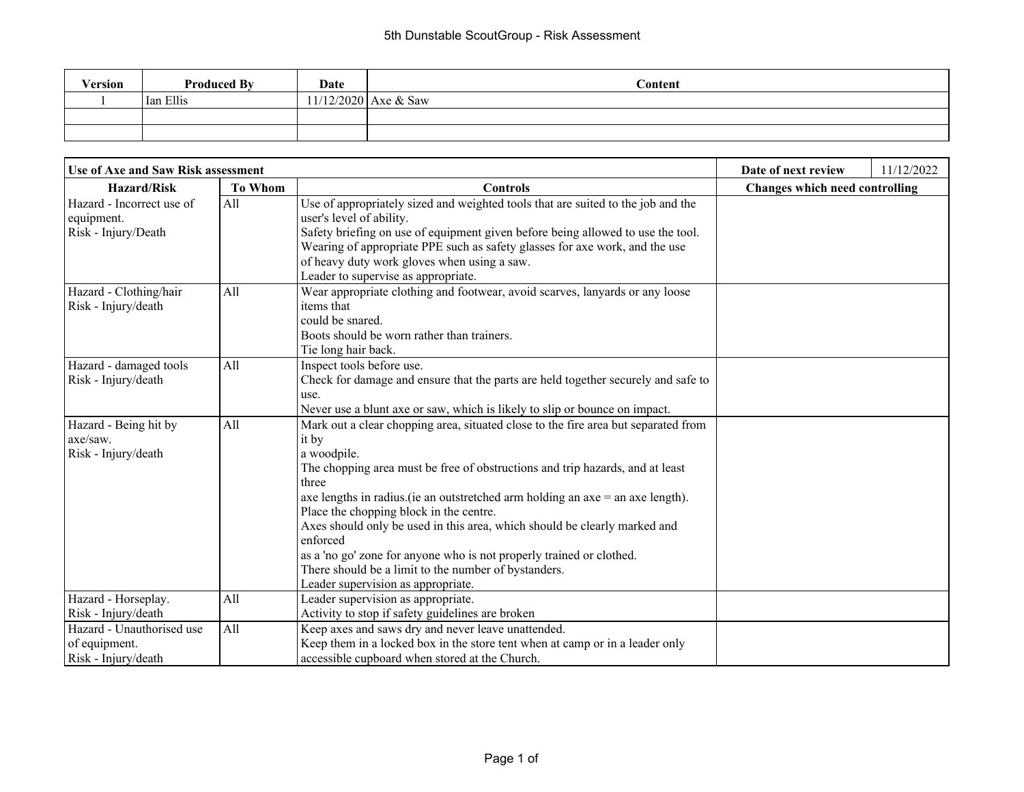| Version | <b>Produced By</b> | Date | Content              |
|---------|--------------------|------|----------------------|
|         | Ian Ellis          |      | 11/12/2020 Axe & Saw |
|         |                    |      |                      |
|         |                    |      |                      |

| <b>Use of Axe and Saw Risk assessment</b>                         | Date of next review               | 11/12/2022                                                                                                                                                                                                                                                                                                                                                                                                                                                                                                                                                                                           |  |                                       |  |
|-------------------------------------------------------------------|-----------------------------------|------------------------------------------------------------------------------------------------------------------------------------------------------------------------------------------------------------------------------------------------------------------------------------------------------------------------------------------------------------------------------------------------------------------------------------------------------------------------------------------------------------------------------------------------------------------------------------------------------|--|---------------------------------------|--|
| <b>Hazard/Risk</b>                                                | <b>To Whom</b><br><b>Controls</b> |                                                                                                                                                                                                                                                                                                                                                                                                                                                                                                                                                                                                      |  | <b>Changes which need controlling</b> |  |
| Hazard - Incorrect use of<br>equipment.<br>Risk - Injury/Death    | All                               | Use of appropriately sized and weighted tools that are suited to the job and the<br>user's level of ability.<br>Safety briefing on use of equipment given before being allowed to use the tool.<br>Wearing of appropriate PPE such as safety glasses for axe work, and the use<br>of heavy duty work gloves when using a saw.<br>Leader to supervise as appropriate.                                                                                                                                                                                                                                 |  |                                       |  |
| Hazard - Clothing/hair<br>Risk - Injury/death                     | All                               | Wear appropriate clothing and footwear, avoid scarves, lanyards or any loose<br>items that<br>could be snared.<br>Boots should be worn rather than trainers.<br>Tie long hair back.                                                                                                                                                                                                                                                                                                                                                                                                                  |  |                                       |  |
| Hazard - damaged tools<br>Risk - Injury/death                     | All                               | Inspect tools before use.<br>Check for damage and ensure that the parts are held together securely and safe to<br>use.<br>Never use a blunt axe or saw, which is likely to slip or bounce on impact.                                                                                                                                                                                                                                                                                                                                                                                                 |  |                                       |  |
| Hazard - Being hit by<br>$axe/saw$ .<br>Risk - Injury/death       | All                               | Mark out a clear chopping area, situated close to the fire area but separated from<br>it by<br>a woodpile.<br>The chopping area must be free of obstructions and trip hazards, and at least<br>three<br>axe lengths in radius. (ie an outstretched arm holding an $axe = an axe length$ ).<br>Place the chopping block in the centre.<br>Axes should only be used in this area, which should be clearly marked and<br>enforced<br>as a 'no go' zone for anyone who is not properly trained or clothed.<br>There should be a limit to the number of bystanders.<br>Leader supervision as appropriate. |  |                                       |  |
| Hazard - Horseplay.<br>Risk - Injury/death                        | All                               | Leader supervision as appropriate.<br>Activity to stop if safety guidelines are broken                                                                                                                                                                                                                                                                                                                                                                                                                                                                                                               |  |                                       |  |
| Hazard - Unauthorised use<br>of equipment.<br>Risk - Injury/death | All                               | Keep axes and saws dry and never leave unattended.<br>Keep them in a locked box in the store tent when at camp or in a leader only<br>accessible cupboard when stored at the Church.                                                                                                                                                                                                                                                                                                                                                                                                                 |  |                                       |  |